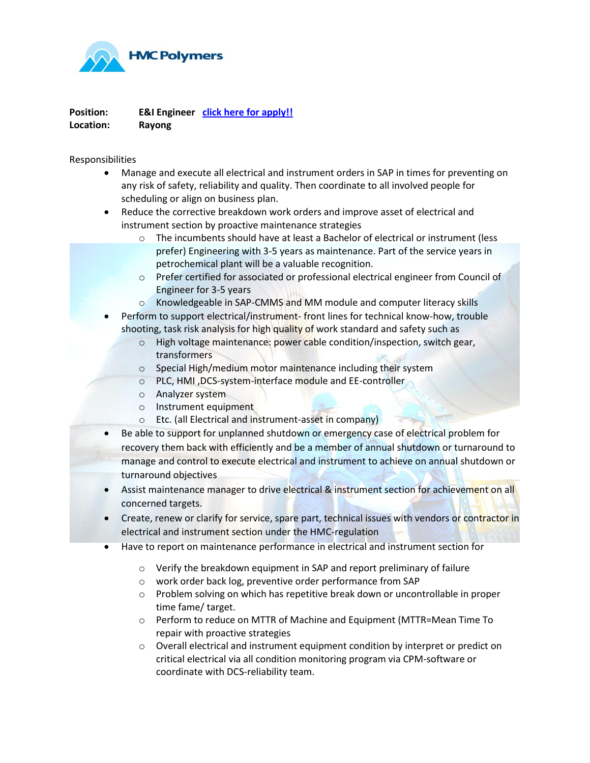

**Position: E&I Engineer [click here for apply!!](https://www.hmccareers.com/login.php) Location: Rayong**

Responsibilities

- Manage and execute all electrical and instrument orders in SAP in times for preventing on any risk of safety, reliability and quality. Then coordinate to all involved people for scheduling or align on business plan.
- Reduce the corrective breakdown work orders and improve asset of electrical and instrument section by proactive maintenance strategies
	- o The incumbents should have at least a Bachelor of electrical or instrument (less prefer) Engineering with 3-5 years as maintenance. Part of the service years in petrochemical plant will be a valuable recognition.
	- o Prefer certified for associated or professional electrical engineer from Council of Engineer for 3-5 years
	- o Knowledgeable in SAP-CMMS and MM module and computer literacy skills
- Perform to support electrical/instrument- front lines for technical know-how, trouble shooting, task risk analysis for high quality of work standard and safety such as
	- o High voltage maintenance: power cable condition/inspection, switch gear, transformers
	- o Special High/medium motor maintenance including their system
	- o PLC, HMI ,DCS-system-interface module and EE-controller
	- o Analyzer system
	- o Instrument equipment
	- o Etc. (all Electrical and instrument-asset in company)
- Be able to support for unplanned shutdown or emergency case of electrical problem for recovery them back with efficiently and be a member of annual shutdown or turnaround to manage and control to execute electrical and instrument to achieve on annual shutdown or turnaround objectives
- Assist maintenance manager to drive electrical & instrument section for achievement on all concerned targets.
- Create, renew or clarify for service, spare part, technical issues with vendors or contractor in electrical and instrument section under the HMC-regulation
- Have to report on maintenance performance in electrical and instrument section for
	- o Verify the breakdown equipment in SAP and report preliminary of failure
	- o work order back log, preventive order performance from SAP
	- $\circ$  Problem solving on which has repetitive break down or uncontrollable in proper time fame/ target.
	- o Perform to reduce on MTTR of Machine and Equipment (MTTR=Mean Time To repair with proactive strategies
	- o Overall electrical and instrument equipment condition by interpret or predict on critical electrical via all condition monitoring program via CPM-software or coordinate with DCS-reliability team.